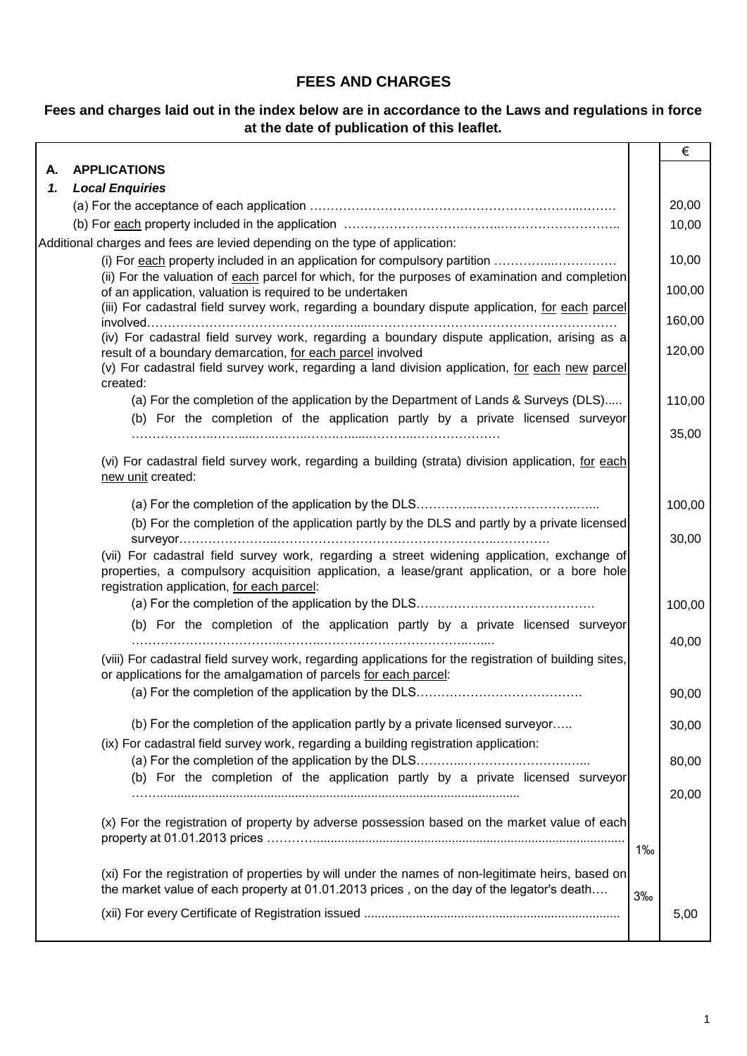# **FEES AND CHARGES**

## **Fees and charges laid out in the index below are in accordance to the Laws and regulations in force at the date of publication of this leaflet.**

|    |                                                                                                                                                                                                                                          |       | €      |
|----|------------------------------------------------------------------------------------------------------------------------------------------------------------------------------------------------------------------------------------------|-------|--------|
| А. | <b>APPLICATIONS</b>                                                                                                                                                                                                                      |       |        |
| 1. | <b>Local Enquiries</b>                                                                                                                                                                                                                   |       |        |
|    |                                                                                                                                                                                                                                          |       | 20,00  |
|    |                                                                                                                                                                                                                                          |       | 10,00  |
|    | Additional charges and fees are levied depending on the type of application:                                                                                                                                                             |       |        |
|    |                                                                                                                                                                                                                                          |       | 10,00  |
|    | (ii) For the valuation of each parcel for which, for the purposes of examination and completion<br>of an application, valuation is required to be undertaken                                                                             |       | 100,00 |
|    | (iii) For cadastral field survey work, regarding a boundary dispute application, for each parcel                                                                                                                                         |       | 160,00 |
|    | (iv) For cadastral field survey work, regarding a boundary dispute application, arising as a<br>result of a boundary demarcation, for each parcel involved                                                                               |       | 120,00 |
|    | (v) For cadastral field survey work, regarding a land division application, for each new parcel<br>created:                                                                                                                              |       |        |
|    | (a) For the completion of the application by the Department of Lands & Surveys (DLS)<br>(b) For the completion of the application partly by a private licensed surveyor                                                                  |       | 110,00 |
|    |                                                                                                                                                                                                                                          |       | 35,00  |
|    | (vi) For cadastral field survey work, regarding a building (strata) division application, for each<br>new unit created:                                                                                                                  |       |        |
|    |                                                                                                                                                                                                                                          |       | 100,00 |
|    | (b) For the completion of the application partly by the DLS and partly by a private licensed                                                                                                                                             |       | 30,00  |
|    | (vii) For cadastral field survey work, regarding a street widening application, exchange of<br>properties, a compulsory acquisition application, a lease/grant application, or a bore hole<br>registration application, for each parcel: |       |        |
|    |                                                                                                                                                                                                                                          |       | 100,00 |
|    | (b) For the completion of the application partly by a private licensed surveyor                                                                                                                                                          |       | 40,00  |
|    | (viii) For cadastral field survey work, regarding applications for the registration of building sites,<br>or applications for the amalgamation of parcels for each parcel:                                                               |       |        |
|    |                                                                                                                                                                                                                                          |       | 90,00  |
|    | (b) For the completion of the application partly by a private licensed surveyor<br>(ix) For cadastral field survey work, regarding a building registration application:                                                                  |       | 30,00  |
|    | (b) For the completion of the application partly by a private licensed surveyor                                                                                                                                                          |       | 80,00  |
|    |                                                                                                                                                                                                                                          |       | 20,00  |
|    | (x) For the registration of property by adverse possession based on the market value of each                                                                                                                                             | $1\%$ |        |
|    | (xi) For the registration of properties by will under the names of non-legitimate heirs, based on<br>the market value of each property at 01.01.2013 prices, on the day of the legator's death                                           | 3%    |        |
|    |                                                                                                                                                                                                                                          |       | 5,00   |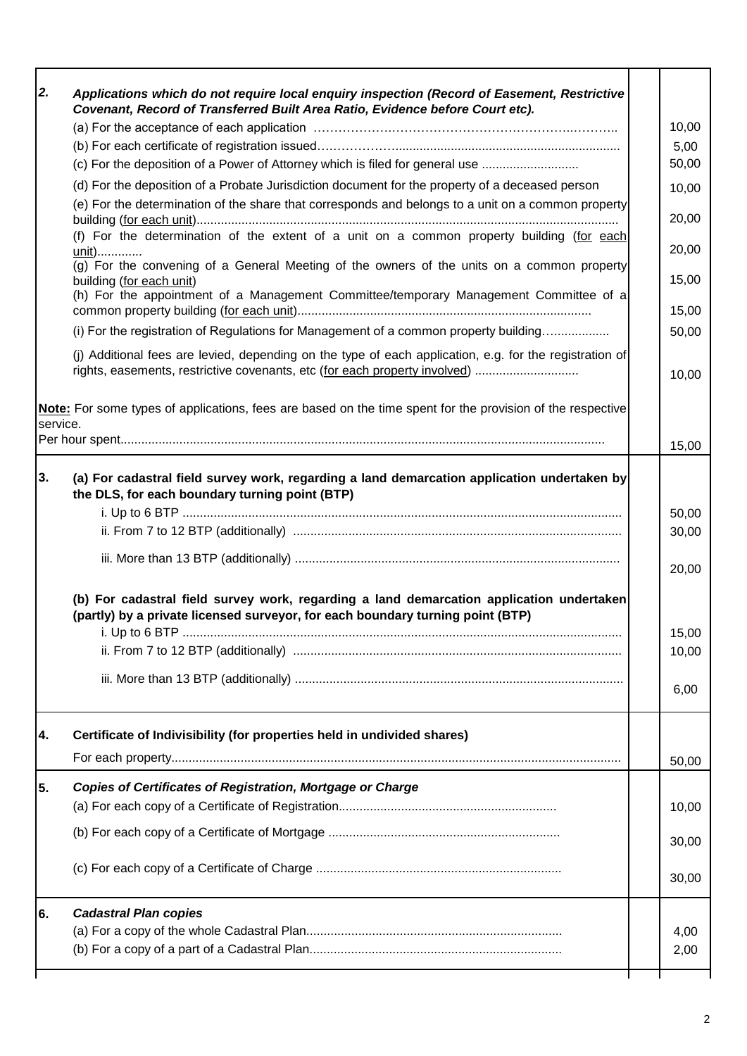| 2.       | Applications which do not require local enquiry inspection (Record of Easement, Restrictive                                                                                                           |                |
|----------|-------------------------------------------------------------------------------------------------------------------------------------------------------------------------------------------------------|----------------|
|          | Covenant, Record of Transferred Built Area Ratio, Evidence before Court etc).                                                                                                                         |                |
|          |                                                                                                                                                                                                       | 10,00          |
|          |                                                                                                                                                                                                       | 5,00           |
|          | (c) For the deposition of a Power of Attorney which is filed for general use                                                                                                                          | 50,00          |
|          | (d) For the deposition of a Probate Jurisdiction document for the property of a deceased person<br>(e) For the determination of the share that corresponds and belongs to a unit on a common property | 10,00<br>20,00 |
|          | (f) For the determination of the extent of a unit on a common property building (for each<br>unit)                                                                                                    | 20,00          |
|          | (g) For the convening of a General Meeting of the owners of the units on a common property<br>building (for each unit)                                                                                | 15,00          |
|          | (h) For the appointment of a Management Committee/temporary Management Committee of a                                                                                                                 | 15,00          |
|          | (i) For the registration of Regulations for Management of a common property building                                                                                                                  | 50,00          |
|          | (j) Additional fees are levied, depending on the type of each application, e.g. for the registration of<br>rights, easements, restrictive covenants, etc (for each property involved)                 | 10,00          |
| service. | Note: For some types of applications, fees are based on the time spent for the provision of the respective                                                                                            |                |
|          |                                                                                                                                                                                                       | 15,00          |
| 3.       | (a) For cadastral field survey work, regarding a land demarcation application undertaken by<br>the DLS, for each boundary turning point (BTP)                                                         |                |
|          |                                                                                                                                                                                                       | 50,00          |
|          |                                                                                                                                                                                                       | 30,00          |
|          |                                                                                                                                                                                                       | 20,00          |
|          | (b) For cadastral field survey work, regarding a land demarcation application undertaken<br>(partly) by a private licensed surveyor, for each boundary turning point (BTP)                            | 15,00          |
|          |                                                                                                                                                                                                       | 10,00          |
|          |                                                                                                                                                                                                       |                |
|          |                                                                                                                                                                                                       | 6,00           |
| 4.       | Certificate of Indivisibility (for properties held in undivided shares)                                                                                                                               |                |
|          |                                                                                                                                                                                                       | 50,00          |
| 5.       | <b>Copies of Certificates of Registration, Mortgage or Charge</b>                                                                                                                                     | 10,00          |
|          |                                                                                                                                                                                                       | 30,00          |
|          |                                                                                                                                                                                                       | 30,00          |
| 6.       | <b>Cadastral Plan copies</b>                                                                                                                                                                          |                |
|          |                                                                                                                                                                                                       | 4,00<br>2,00   |
|          |                                                                                                                                                                                                       |                |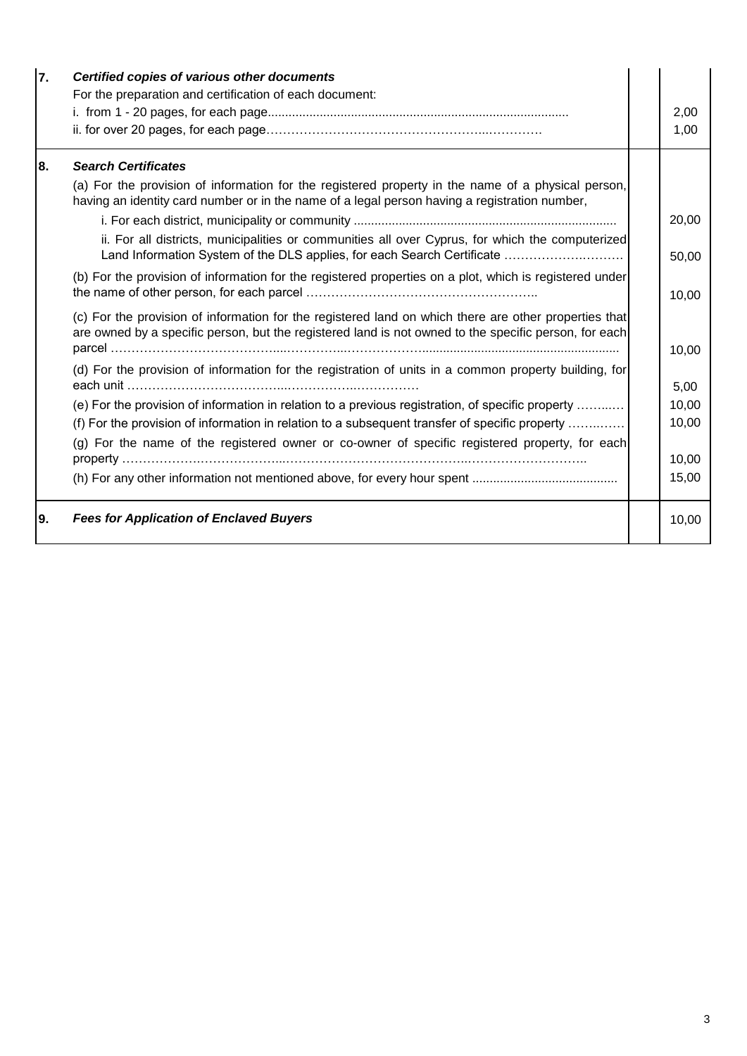| 7.  | Certified copies of various other documents                                                                                                                                                                    |  |       |  |  |
|-----|----------------------------------------------------------------------------------------------------------------------------------------------------------------------------------------------------------------|--|-------|--|--|
|     | For the preparation and certification of each document:                                                                                                                                                        |  |       |  |  |
|     |                                                                                                                                                                                                                |  | 2,00  |  |  |
|     |                                                                                                                                                                                                                |  | 1,00  |  |  |
| 8.  | <b>Search Certificates</b>                                                                                                                                                                                     |  |       |  |  |
|     | (a) For the provision of information for the registered property in the name of a physical person,<br>having an identity card number or in the name of a legal person having a registration number,            |  |       |  |  |
|     |                                                                                                                                                                                                                |  |       |  |  |
|     | ii. For all districts, municipalities or communities all over Cyprus, for which the computerized<br>Land Information System of the DLS applies, for each Search Certificate                                    |  | 50,00 |  |  |
|     | (b) For the provision of information for the registered properties on a plot, which is registered under                                                                                                        |  |       |  |  |
|     | (c) For the provision of information for the registered land on which there are other properties that<br>are owned by a specific person, but the registered land is not owned to the specific person, for each |  |       |  |  |
|     | (d) For the provision of information for the registration of units in a common property building, for                                                                                                          |  | 5,00  |  |  |
|     | (e) For the provision of information in relation to a previous registration, of specific property                                                                                                              |  | 10,00 |  |  |
|     | (f) For the provision of information in relation to a subsequent transfer of specific property                                                                                                                 |  | 10,00 |  |  |
|     | (g) For the name of the registered owner or co-owner of specific registered property, for each                                                                                                                 |  |       |  |  |
|     |                                                                                                                                                                                                                |  | 10,00 |  |  |
|     |                                                                                                                                                                                                                |  | 15,00 |  |  |
| 19. | <b>Fees for Application of Enclaved Buyers</b>                                                                                                                                                                 |  | 10,00 |  |  |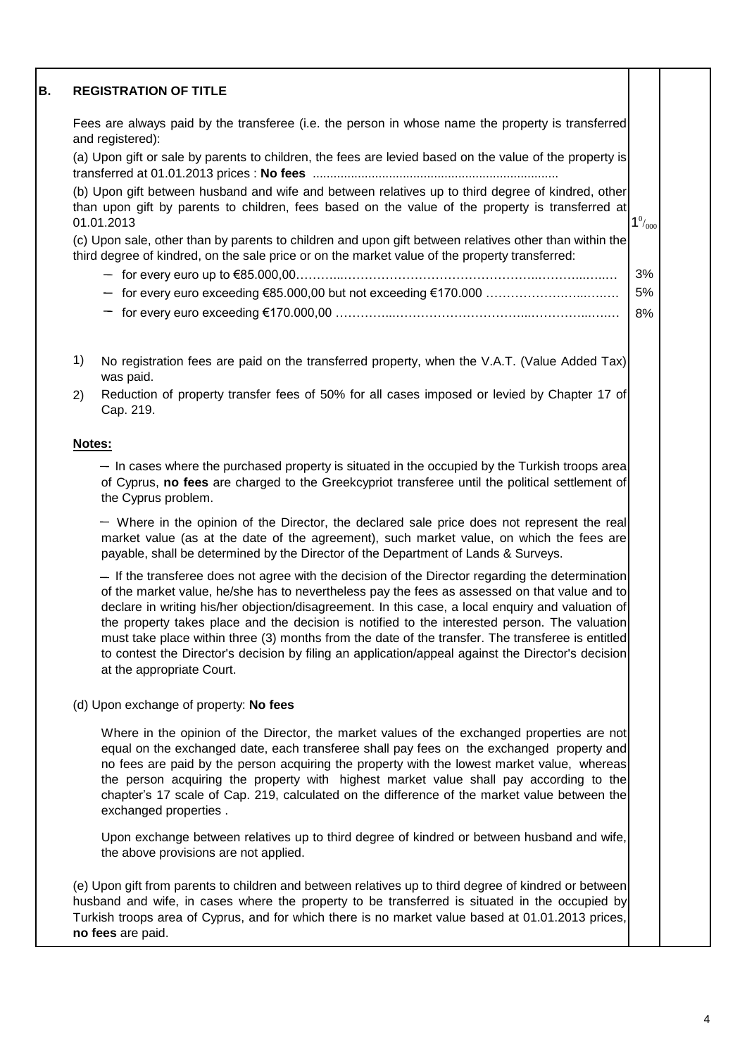#### **B. REGISTRATION OF TITLE**

Fees are always paid by the transferee (i.e. the person in whose name the property is transferred and registered):

(a) Upon gift or sale by parents to children, the fees are levied based on the value of the property is transferred at 01.01.2013 prices : **No fees** .......................................................................

 $1^0/000$ (b) Upon gift between husband and wife and between relatives up to third degree of kindred, other than upon gift by parents to children, fees based on the value of the property is transferred at 01.01.2013

(c) Upon sale, other than by parents to children and upon gift between relatives other than within the third degree of kindred, on the sale price or on the market value of the property transferred:

- 3% for every euro up to €85.000,00………...………………………………………..………...…..…
- 5%  $f$  for every euro exceeding €85.000,00 but not exceeding €170.000 ………………………………
- 8% for every euro exceeding €170.000,00 …………...…………………………...…………...….…
- 1) No registration fees are paid on the transferred property, when the V.A.T. (Value Added Tax) was paid.
- 2) Reduction of property transfer fees of 50% for all cases imposed or levied by Chapter 17 of Cap. 219.

## **Notes:**

 $-$  In cases where the purchased property is situated in the occupied by the Turkish troops area of Cyprus, **no fees** are charged to the Greekcypriot transferee until the political settlement of the Cyprus problem.

Where in the opinion of the Director, the declared sale price does not represent the real market value (as at the date of the agreement), such market value, on which the fees are payable, shall be determined by the Director of the Department of Lands & Surveys.

 $-$  If the transferee does not agree with the decision of the Director regarding the determination of the market value, he/she has to nevertheless pay the fees as assessed on that value and to declare in writing his/her objection/disagreement. In this case, a local enquiry and valuation of the property takes place and the decision is notified to the interested person. The valuation must take place within three (3) months from the date of the transfer. The transferee is entitled to contest the Director's decision by filing an application/appeal against the Director's decision at the appropriate Court.

## (d) Upon exchange of property: **No fees**

Where in the opinion of the Director, the market values of the exchanged properties are not equal on the exchanged date, each transferee shall pay fees on the exchanged property and no fees are paid by the person acquiring the property with the lowest market value, whereas the person acquiring the property with highest market value shall pay according to the chapter's 17 scale of Cap. 219, calculated on the difference of the market value between the exchanged properties .

Upon exchange between relatives up to third degree of kindred or between husband and wife, the above provisions are not applied.

(e) Upon gift from parents to children and between relatives up to third degree of kindred or between husband and wife, in cases where the property to be transferred is situated in the occupied by Turkish troops area of Cyprus, and for which there is no market value based at 01.01.2013 prices, **no fees** are paid.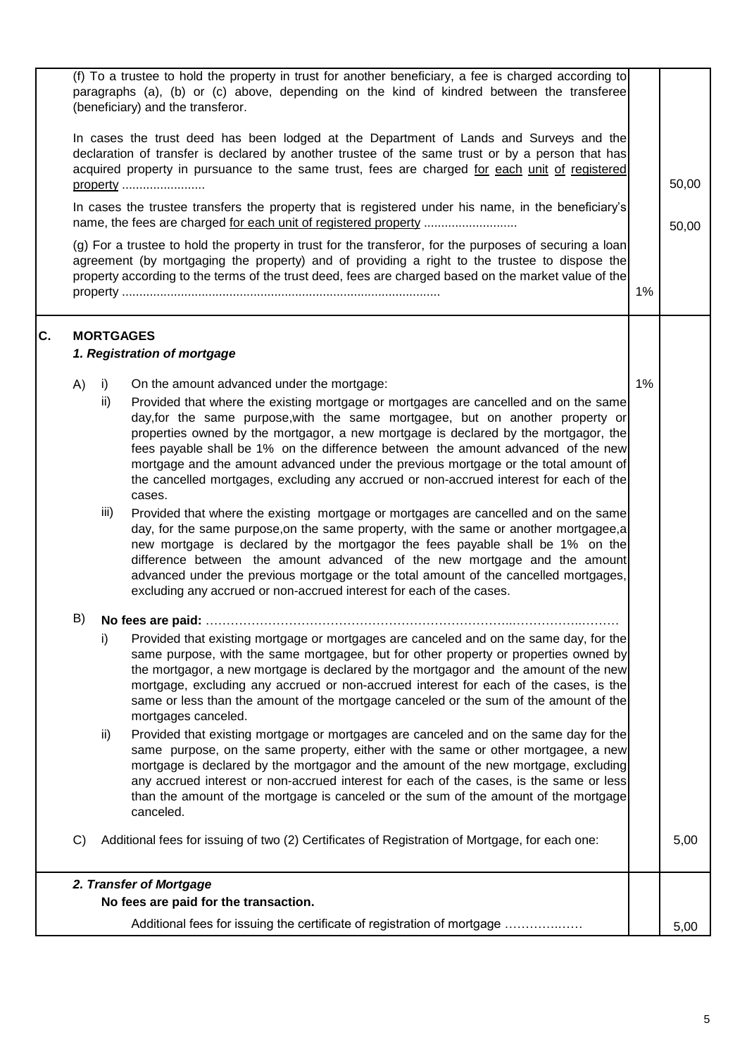|    |               |      | (f) To a trustee to hold the property in trust for another beneficiary, a fee is charged according to                                                                                                                                                                                                                                                                                                                                                                                                                                         |    |       |
|----|---------------|------|-----------------------------------------------------------------------------------------------------------------------------------------------------------------------------------------------------------------------------------------------------------------------------------------------------------------------------------------------------------------------------------------------------------------------------------------------------------------------------------------------------------------------------------------------|----|-------|
|    |               |      | paragraphs (a), (b) or (c) above, depending on the kind of kindred between the transferee<br>(beneficiary) and the transferor.                                                                                                                                                                                                                                                                                                                                                                                                                |    |       |
|    |               |      | In cases the trust deed has been lodged at the Department of Lands and Surveys and the<br>declaration of transfer is declared by another trustee of the same trust or by a person that has<br>acquired property in pursuance to the same trust, fees are charged for each unit of registered<br>property                                                                                                                                                                                                                                      |    | 50,00 |
|    |               |      | In cases the trustee transfers the property that is registered under his name, in the beneficiary's                                                                                                                                                                                                                                                                                                                                                                                                                                           |    | 50,00 |
|    |               |      | (g) For a trustee to hold the property in trust for the transferor, for the purposes of securing a loan<br>agreement (by mortgaging the property) and of providing a right to the trustee to dispose the<br>property according to the terms of the trust deed, fees are charged based on the market value of the                                                                                                                                                                                                                              | 1% |       |
| C. |               |      | <b>MORTGAGES</b><br>1. Registration of mortgage                                                                                                                                                                                                                                                                                                                                                                                                                                                                                               |    |       |
|    | A)            | i)   | On the amount advanced under the mortgage:                                                                                                                                                                                                                                                                                                                                                                                                                                                                                                    | 1% |       |
|    |               | ii)  | Provided that where the existing mortgage or mortgages are cancelled and on the same<br>day, for the same purpose, with the same mortgagee, but on another property or<br>properties owned by the mortgagor, a new mortgage is declared by the mortgagor, the<br>fees payable shall be 1% on the difference between the amount advanced of the new<br>mortgage and the amount advanced under the previous mortgage or the total amount of<br>the cancelled mortgages, excluding any accrued or non-accrued interest for each of the<br>cases. |    |       |
|    |               | iii) | Provided that where the existing mortgage or mortgages are cancelled and on the same<br>day, for the same purpose, on the same property, with the same or another mortgagee, a<br>new mortgage is declared by the mortgagor the fees payable shall be 1% on the<br>difference between the amount advanced of the new mortgage and the amount<br>advanced under the previous mortgage or the total amount of the cancelled mortgages,<br>excluding any accrued or non-accrued interest for each of the cases.                                  |    |       |
|    | B)            |      |                                                                                                                                                                                                                                                                                                                                                                                                                                                                                                                                               |    |       |
|    |               | i)   | Provided that existing mortgage or mortgages are canceled and on the same day, for the<br>same purpose, with the same mortgagee, but for other property or properties owned by<br>the mortgagor, a new mortgage is declared by the mortgagor and the amount of the new<br>mortgage, excluding any accrued or non-accrued interest for each of the cases, is the<br>same or less than the amount of the mortgage canceled or the sum of the amount of the<br>mortgages canceled.                                                               |    |       |
|    |               | ii)  | Provided that existing mortgage or mortgages are canceled and on the same day for the<br>same purpose, on the same property, either with the same or other mortgagee, a new<br>mortgage is declared by the mortgagor and the amount of the new mortgage, excluding<br>any accrued interest or non-accrued interest for each of the cases, is the same or less<br>than the amount of the mortgage is canceled or the sum of the amount of the mortgage<br>canceled.                                                                            |    |       |
|    | $\mathcal{C}$ |      | Additional fees for issuing of two (2) Certificates of Registration of Mortgage, for each one:                                                                                                                                                                                                                                                                                                                                                                                                                                                |    | 5,00  |
|    |               |      | 2. Transfer of Mortgage                                                                                                                                                                                                                                                                                                                                                                                                                                                                                                                       |    |       |
|    |               |      | No fees are paid for the transaction.                                                                                                                                                                                                                                                                                                                                                                                                                                                                                                         |    |       |
|    |               |      | Additional fees for issuing the certificate of registration of mortgage                                                                                                                                                                                                                                                                                                                                                                                                                                                                       |    | 5,00  |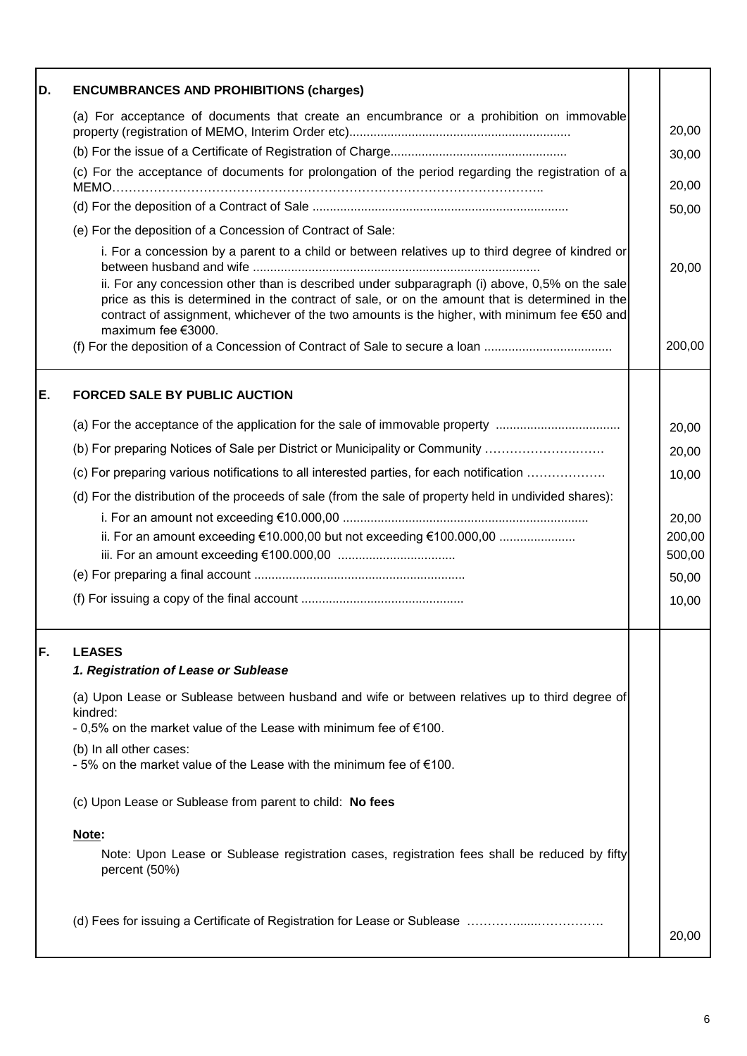| D. | <b>ENCUMBRANCES AND PROHIBITIONS (charges)</b>                                                                                                                                                                                                                                                                         |        |
|----|------------------------------------------------------------------------------------------------------------------------------------------------------------------------------------------------------------------------------------------------------------------------------------------------------------------------|--------|
|    | (a) For acceptance of documents that create an encumbrance or a prohibition on immovable                                                                                                                                                                                                                               | 20,00  |
|    |                                                                                                                                                                                                                                                                                                                        | 30,00  |
|    | (c) For the acceptance of documents for prolongation of the period regarding the registration of a                                                                                                                                                                                                                     | 20,00  |
|    |                                                                                                                                                                                                                                                                                                                        | 50,00  |
|    | (e) For the deposition of a Concession of Contract of Sale:                                                                                                                                                                                                                                                            |        |
|    | i. For a concession by a parent to a child or between relatives up to third degree of kindred or                                                                                                                                                                                                                       | 20,00  |
|    | ii. For any concession other than is described under subparagraph (i) above, 0,5% on the sale<br>price as this is determined in the contract of sale, or on the amount that is determined in the<br>contract of assignment, whichever of the two amounts is the higher, with minimum fee €50 and<br>maximum fee €3000. |        |
|    | (f) For the deposition of a Concession of Contract of Sale to secure a loan                                                                                                                                                                                                                                            | 200,00 |
| E. | <b>FORCED SALE BY PUBLIC AUCTION</b>                                                                                                                                                                                                                                                                                   |        |
|    | (a) For the acceptance of the application for the sale of immovable property                                                                                                                                                                                                                                           | 20,00  |
|    | (b) For preparing Notices of Sale per District or Municipality or Community                                                                                                                                                                                                                                            | 20,00  |
|    | (c) For preparing various notifications to all interested parties, for each notification                                                                                                                                                                                                                               | 10,00  |
|    | (d) For the distribution of the proceeds of sale (from the sale of property held in undivided shares):                                                                                                                                                                                                                 |        |
|    |                                                                                                                                                                                                                                                                                                                        | 20,00  |
|    | ii. For an amount exceeding €10.000,00 but not exceeding €100.000,00                                                                                                                                                                                                                                                   | 200,00 |
|    |                                                                                                                                                                                                                                                                                                                        | 500,00 |
|    |                                                                                                                                                                                                                                                                                                                        | 50,00  |
|    |                                                                                                                                                                                                                                                                                                                        | 10,00  |
| F. | <b>LEASES</b>                                                                                                                                                                                                                                                                                                          |        |
|    | 1. Registration of Lease or Sublease                                                                                                                                                                                                                                                                                   |        |
|    | (a) Upon Lease or Sublease between husband and wife or between relatives up to third degree of<br>kindred:                                                                                                                                                                                                             |        |
|    | - 0,5% on the market value of the Lease with minimum fee of $€100$ .                                                                                                                                                                                                                                                   |        |
|    | (b) In all other cases:<br>- 5% on the market value of the Lease with the minimum fee of €100.                                                                                                                                                                                                                         |        |
|    | (c) Upon Lease or Sublease from parent to child: No fees                                                                                                                                                                                                                                                               |        |
|    | Note:                                                                                                                                                                                                                                                                                                                  |        |
|    | Note: Upon Lease or Sublease registration cases, registration fees shall be reduced by fifty<br>percent (50%)                                                                                                                                                                                                          |        |
|    |                                                                                                                                                                                                                                                                                                                        | 20,00  |